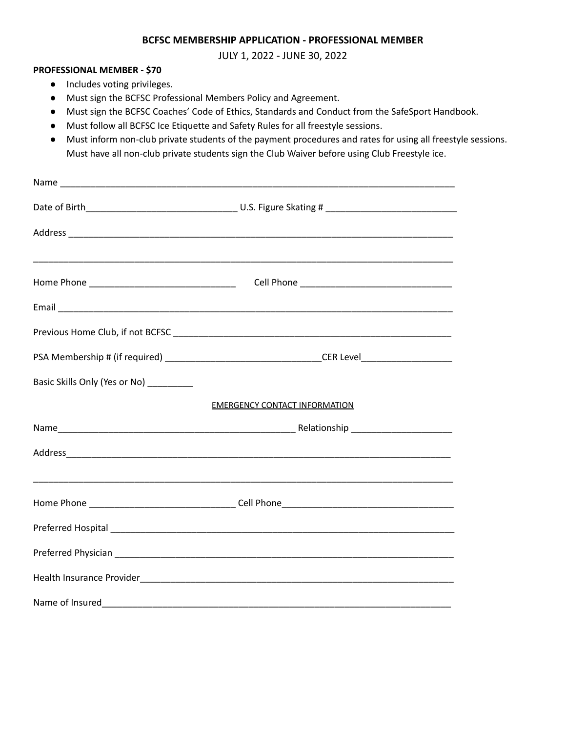#### **BCFSC MEMBERSHIP APPLICATION - PROFESSIONAL MEMBER**

JULY 1, 2022 - JUNE 30, 2022

#### **PROFESSIONAL MEMBER - \$70**

- Includes voting privileges.
- Must sign the BCFSC Professional Members Policy and Agreement.
- Must sign the BCFSC Coaches' Code of Ethics, Standards and Conduct from the SafeSport Handbook.
- Must follow all BCFSC Ice Etiquette and Safety Rules for all freestyle sessions.
- Must inform non-club private students of the payment procedures and rates for using all freestyle sessions. Must have all non-club private students sign the Club Waiver before using Club Freestyle ice.

| Basic Skills Only (Yes or No) _________ |                                      |
|-----------------------------------------|--------------------------------------|
|                                         | <b>EMERGENCY CONTACT INFORMATION</b> |
|                                         |                                      |
|                                         |                                      |
|                                         |                                      |
|                                         |                                      |
|                                         |                                      |
|                                         |                                      |
|                                         |                                      |
|                                         |                                      |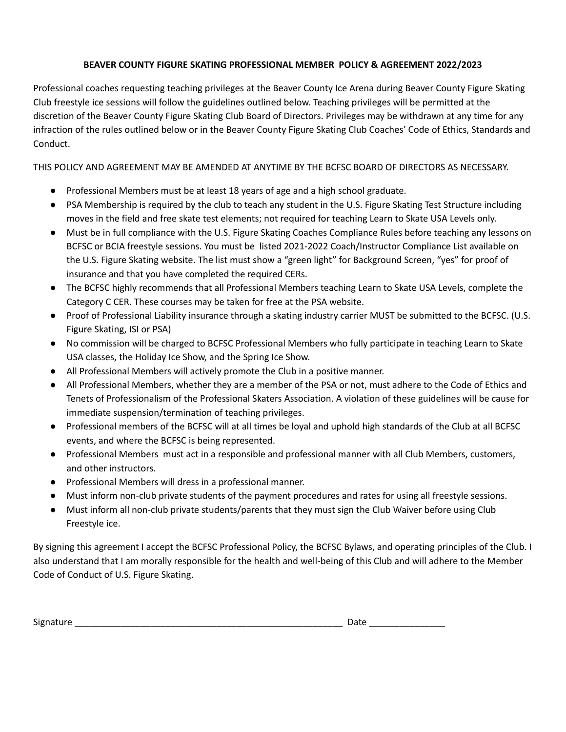### **BEAVER COUNTY FIGURE SKATING PROFESSIONAL MEMBER POLICY & AGREEMENT 2022/2023**

Professional coaches requesting teaching privileges at the Beaver County Ice Arena during Beaver County Figure Skating Club freestyle ice sessions will follow the guidelines outlined below. Teaching privileges will be permitted at the discretion of the Beaver County Figure Skating Club Board of Directors. Privileges may be withdrawn at any time for any infraction of the rules outlined below or in the Beaver County Figure Skating Club Coaches' Code of Ethics, Standards and Conduct.

THIS POLICY AND AGREEMENT MAY BE AMENDED AT ANYTIME BY THE BCFSC BOARD OF DIRECTORS AS NECESSARY.

- Professional Members must be at least 18 years of age and a high school graduate.
- PSA Membership is required by the club to teach any student in the U.S. Figure Skating Test Structure including moves in the field and free skate test elements; not required for teaching Learn to Skate USA Levels only.
- Must be in full compliance with the U.S. Figure Skating Coaches Compliance Rules before teaching any lessons on BCFSC or BCIA freestyle sessions. You must be listed 2021-2022 Coach/Instructor Compliance List available on the U.S. Figure Skating website. The list must show a "green light" for Background Screen, "yes" for proof of insurance and that you have completed the required CERs.
- The BCFSC highly recommends that all Professional Members teaching Learn to Skate USA Levels, complete the Category C CER. These courses may be taken for free at the PSA website.
- Proof of Professional Liability insurance through a skating industry carrier MUST be submitted to the BCFSC. (U.S. Figure Skating, ISI or PSA)
- No commission will be charged to BCFSC Professional Members who fully participate in teaching Learn to Skate USA classes, the Holiday Ice Show, and the Spring Ice Show.
- All Professional Members will actively promote the Club in a positive manner.
- All Professional Members, whether they are a member of the PSA or not, must adhere to the Code of Ethics and Tenets of Professionalism of the Professional Skaters Association. A violation of these guidelines will be cause for immediate suspension/termination of teaching privileges.
- Professional members of the BCFSC will at all times be loyal and uphold high standards of the Club at all BCFSC events, and where the BCFSC is being represented.
- Professional Members must act in a responsible and professional manner with all Club Members, customers, and other instructors.
- Professional Members will dress in a professional manner.
- Must inform non-club private students of the payment procedures and rates for using all freestyle sessions.
- Must inform all non-club private students/parents that they must sign the Club Waiver before using Club Freestyle ice.

By signing this agreement I accept the BCFSC Professional Policy, the BCFSC Bylaws, and operating principles of the Club. I also understand that I am morally responsible for the health and well-being of this Club and will adhere to the Member Code of Conduct of U.S. Figure Skating.

Signature \_\_\_\_\_\_\_\_\_\_\_\_\_\_\_\_\_\_\_\_\_\_\_\_\_\_\_\_\_\_\_\_\_\_\_\_\_\_\_\_\_\_\_\_\_\_\_\_\_\_\_\_\_ Date \_\_\_\_\_\_\_\_\_\_\_\_\_\_\_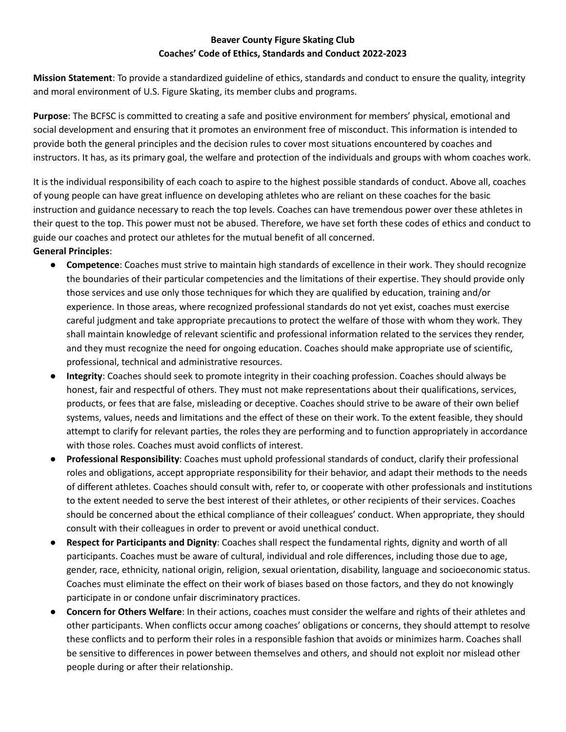## **Beaver County Figure Skating Club Coaches' Code of Ethics, Standards and Conduct 2022-2023**

**Mission Statement**: To provide a standardized guideline of ethics, standards and conduct to ensure the quality, integrity and moral environment of U.S. Figure Skating, its member clubs and programs.

**Purpose**: The BCFSC is committed to creating a safe and positive environment for members' physical, emotional and social development and ensuring that it promotes an environment free of misconduct. This information is intended to provide both the general principles and the decision rules to cover most situations encountered by coaches and instructors. It has, as its primary goal, the welfare and protection of the individuals and groups with whom coaches work.

It is the individual responsibility of each coach to aspire to the highest possible standards of conduct. Above all, coaches of young people can have great influence on developing athletes who are reliant on these coaches for the basic instruction and guidance necessary to reach the top levels. Coaches can have tremendous power over these athletes in their quest to the top. This power must not be abused. Therefore, we have set forth these codes of ethics and conduct to guide our coaches and protect our athletes for the mutual benefit of all concerned. **General Principles**:

- **Competence**: Coaches must strive to maintain high standards of excellence in their work. They should recognize the boundaries of their particular competencies and the limitations of their expertise. They should provide only those services and use only those techniques for which they are qualified by education, training and/or experience. In those areas, where recognized professional standards do not yet exist, coaches must exercise careful judgment and take appropriate precautions to protect the welfare of those with whom they work. They shall maintain knowledge of relevant scientific and professional information related to the services they render, and they must recognize the need for ongoing education. Coaches should make appropriate use of scientific, professional, technical and administrative resources.
- **Integrity**: Coaches should seek to promote integrity in their coaching profession. Coaches should always be honest, fair and respectful of others. They must not make representations about their qualifications, services, products, or fees that are false, misleading or deceptive. Coaches should strive to be aware of their own belief systems, values, needs and limitations and the effect of these on their work. To the extent feasible, they should attempt to clarify for relevant parties, the roles they are performing and to function appropriately in accordance with those roles. Coaches must avoid conflicts of interest.
- **Professional Responsibility**: Coaches must uphold professional standards of conduct, clarify their professional roles and obligations, accept appropriate responsibility for their behavior, and adapt their methods to the needs of different athletes. Coaches should consult with, refer to, or cooperate with other professionals and institutions to the extent needed to serve the best interest of their athletes, or other recipients of their services. Coaches should be concerned about the ethical compliance of their colleagues' conduct. When appropriate, they should consult with their colleagues in order to prevent or avoid unethical conduct.
- **Respect for Participants and Dignity**: Coaches shall respect the fundamental rights, dignity and worth of all participants. Coaches must be aware of cultural, individual and role differences, including those due to age, gender, race, ethnicity, national origin, religion, sexual orientation, disability, language and socioeconomic status. Coaches must eliminate the effect on their work of biases based on those factors, and they do not knowingly participate in or condone unfair discriminatory practices.
- **Concern for Others Welfare**: In their actions, coaches must consider the welfare and rights of their athletes and other participants. When conflicts occur among coaches' obligations or concerns, they should attempt to resolve these conflicts and to perform their roles in a responsible fashion that avoids or minimizes harm. Coaches shall be sensitive to differences in power between themselves and others, and should not exploit nor mislead other people during or after their relationship.